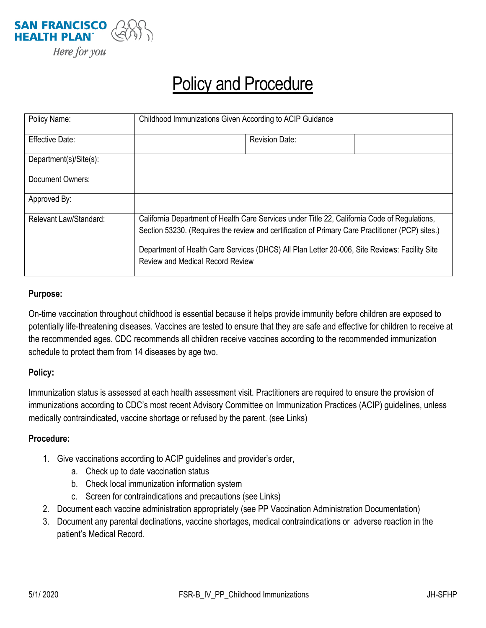

## Policy and Procedure

| Policy Name:           | Childhood Immunizations Given According to ACIP Guidance                                                                                                                                                                                                                                                                                      |
|------------------------|-----------------------------------------------------------------------------------------------------------------------------------------------------------------------------------------------------------------------------------------------------------------------------------------------------------------------------------------------|
| Effective Date:        | <b>Revision Date:</b>                                                                                                                                                                                                                                                                                                                         |
| Department(s)/Site(s): |                                                                                                                                                                                                                                                                                                                                               |
| Document Owners:       |                                                                                                                                                                                                                                                                                                                                               |
| Approved By:           |                                                                                                                                                                                                                                                                                                                                               |
| Relevant Law/Standard: | California Department of Health Care Services under Title 22, California Code of Regulations,<br>Section 53230. (Requires the review and certification of Primary Care Practitioner (PCP) sites.)<br>Department of Health Care Services (DHCS) All Plan Letter 20-006, Site Reviews: Facility Site<br><b>Review and Medical Record Review</b> |

## **Purpose:**

On-time vaccination throughout childhood is essential because it helps provide immunity before children are exposed to potentially life-threatening diseases. Vaccines are tested to ensure that they are safe and effective for children to receive at the recommended ages. CDC recommends all children receive vaccines according to the recommended immunization schedule to protect them from 14 diseases by age two.

## **Policy:**

Immunization status is assessed at each health assessment visit. Practitioners are required to ensure the provision of immunizations according to CDC's most recent Advisory Committee on Immunization Practices (ACIP) guidelines, unless medically contraindicated, vaccine shortage or refused by the parent. (see Links)

## **Procedure:**

- 1. Give vaccinations according to ACIP guidelines and provider's order,
	- a. Check up to date vaccination status
	- b. Check local immunization information system
	- c. Screen for contraindications and precautions (see Links)
- 2. Document each vaccine administration appropriately (see PP Vaccination Administration Documentation)
- 3. Document any parental declinations, vaccine shortages, medical contraindications or adverse reaction in the patient's Medical Record.